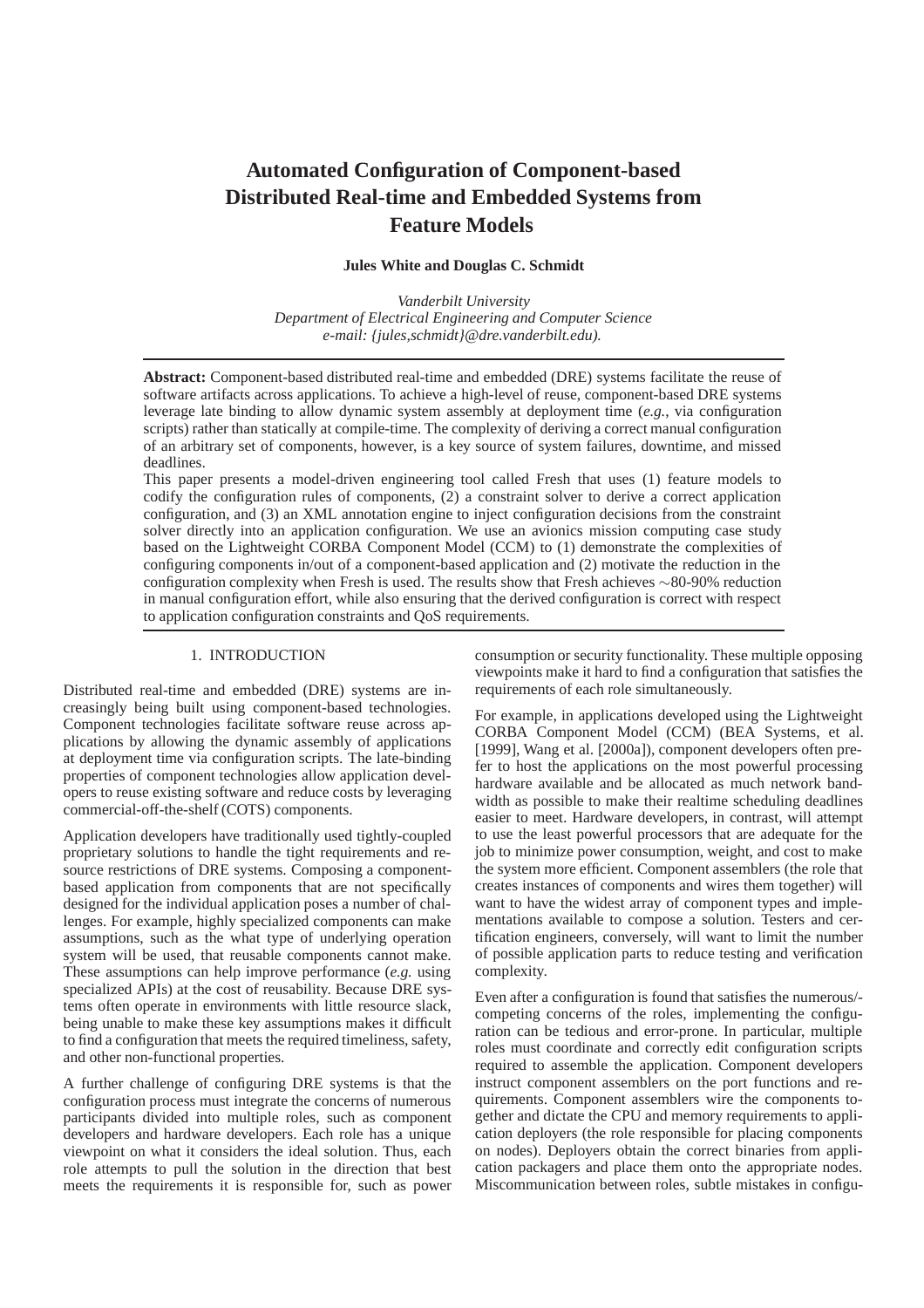# **Automated Configuration of Component-based Distributed Real-time and Embedded Systems from Feature Models**

**Jules White and Douglas C. Schmidt**

*Vanderbilt University Department of Electrical Engineering and Computer Science e-mail: {jules,schmidt}@dre.vanderbilt.edu).*

**Abstract:** Component-based distributed real-time and embedded (DRE) systems facilitate the reuse of software artifacts across applications. To achieve a high-level of reuse, component-based DRE systems leverage late binding to allow dynamic system assembly at deployment time (*e.g.*, via configuration scripts) rather than statically at compile-time. The complexity of deriving a correct manual configuration of an arbitrary set of components, however, is a key source of system failures, downtime, and missed deadlines.

This paper presents a model-driven engineering tool called Fresh that uses (1) feature models to codify the configuration rules of components, (2) a constraint solver to derive a correct application configuration, and (3) an XML annotation engine to inject configuration decisions from the constraint solver directly into an application configuration. We use an avionics mission computing case study based on the Lightweight CORBA Component Model (CCM) to (1) demonstrate the complexities of configuring components in/out of a component-based application and (2) motivate the reduction in the configuration complexity when Fresh is used. The results show that Fresh achieves ∼80-90% reduction in manual configuration effort, while also ensuring that the derived configuration is correct with respect to application configuration constraints and QoS requirements.

# 1. INTRODUCTION

Distributed real-time and embedded (DRE) systems are increasingly being built using component-based technologies. Component technologies facilitate software reuse across applications by allowing the dynamic assembly of applications at deployment time via configuration scripts. The late-binding properties of component technologies allow application developers to reuse existing software and reduce costs by leveraging commercial-off-the-shelf (COTS) components.

Application developers have traditionally used tightly-coupled proprietary solutions to handle the tight requirements and resource restrictions of DRE systems. Composing a componentbased application from components that are not specifically designed for the individual application poses a number of challenges. For example, highly specialized components can make assumptions, such as the what type of underlying operation system will be used, that reusable components cannot make. These assumptions can help improve performance (*e.g.* using specialized APIs) at the cost of reusability. Because DRE systems often operate in environments with little resource slack, being unable to make these key assumptions makes it difficult to find a configuration that meets the required timeliness, safety, and other non-functional properties.

A further challenge of configuring DRE systems is that the configuration process must integrate the concerns of numerous participants divided into multiple roles, such as component developers and hardware developers. Each role has a unique viewpoint on what it considers the ideal solution. Thus, each role attempts to pull the solution in the direction that best meets the requirements it is responsible for, such as power

consumption or security functionality. These multiple opposing viewpoints make it hard to find a configuration that satisfies the requirements of each role simultaneously.

For example, in applications developed using the Lightweight CORBA Component Model (CCM) (BEA Systems, et al. [1999], Wang et al. [2000a]), component developers often prefer to host the applications on the most powerful processing hardware available and be allocated as much network bandwidth as possible to make their realtime scheduling deadlines easier to meet. Hardware developers, in contrast, will attempt to use the least powerful processors that are adequate for the job to minimize power consumption, weight, and cost to make the system more efficient. Component assemblers (the role that creates instances of components and wires them together) will want to have the widest array of component types and implementations available to compose a solution. Testers and certification engineers, conversely, will want to limit the number of possible application parts to reduce testing and verification complexity.

Even after a configuration is found that satisfies the numerous/ competing concerns of the roles, implementing the configuration can be tedious and error-prone. In particular, multiple roles must coordinate and correctly edit configuration scripts required to assemble the application. Component developers instruct component assemblers on the port functions and requirements. Component assemblers wire the components together and dictate the CPU and memory requirements to application deployers (the role responsible for placing components on nodes). Deployers obtain the correct binaries from application packagers and place them onto the appropriate nodes. Miscommunication between roles, subtle mistakes in configu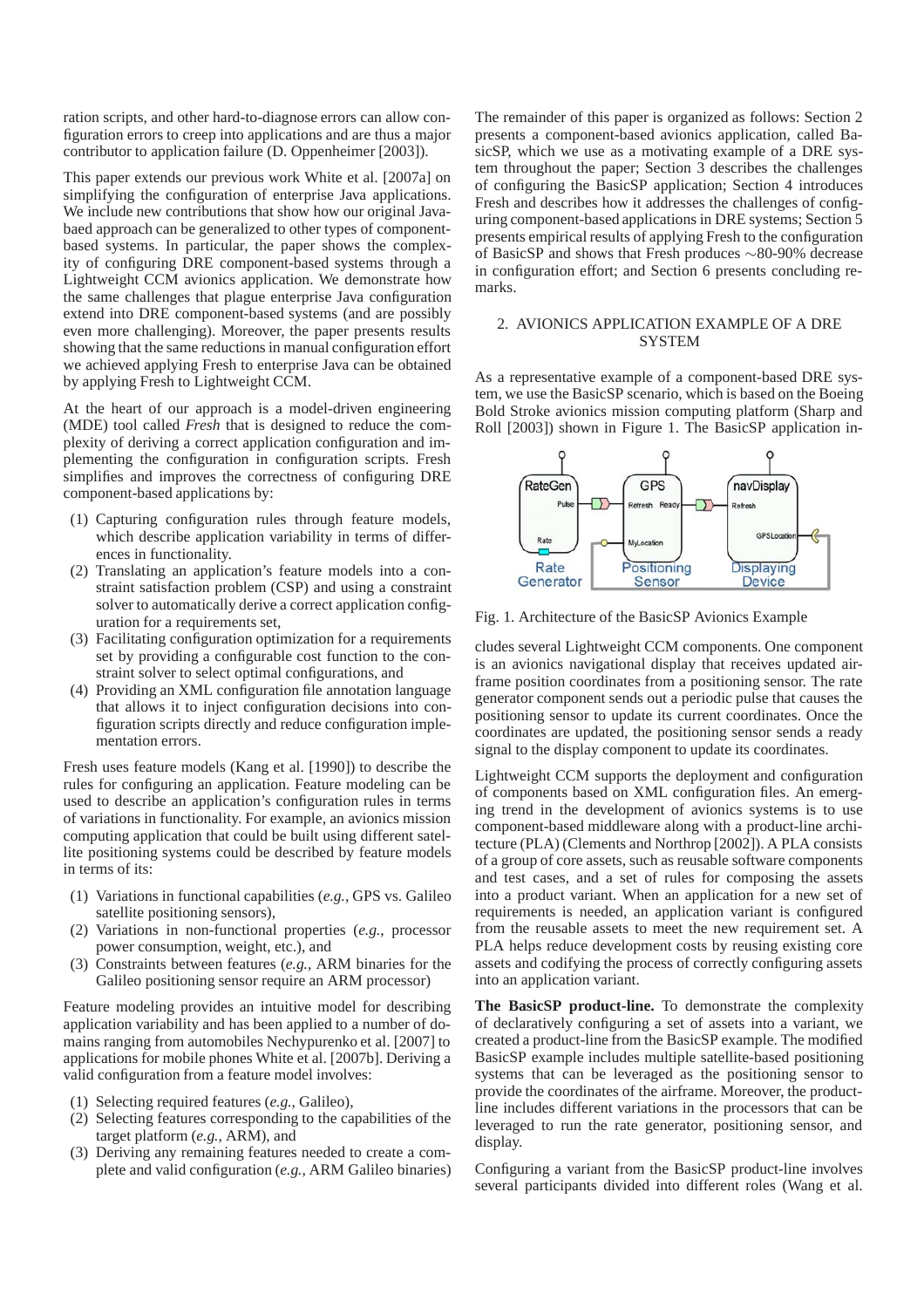ration scripts, and other hard-to-diagnose errors can allow configuration errors to creep into applications and are thus a major contributor to application failure (D. Oppenheimer [2003]).

This paper extends our previous work White et al. [2007a] on simplifying the configuration of enterprise Java applications. We include new contributions that show how our original Javabaed approach can be generalized to other types of componentbased systems. In particular, the paper shows the complexity of configuring DRE component-based systems through a Lightweight CCM avionics application. We demonstrate how the same challenges that plague enterprise Java configuration extend into DRE component-based systems (and are possibly even more challenging). Moreover, the paper presents results showing that the same reductions in manual configuration effort we achieved applying Fresh to enterprise Java can be obtained by applying Fresh to Lightweight CCM.

At the heart of our approach is a model-driven engineering (MDE) tool called *Fresh* that is designed to reduce the complexity of deriving a correct application configuration and implementing the configuration in configuration scripts. Fresh simplifies and improves the correctness of configuring DRE component-based applications by:

- (1) Capturing configuration rules through feature models, which describe application variability in terms of differences in functionality.
- (2) Translating an application's feature models into a constraint satisfaction problem (CSP) and using a constraint solver to automatically derive a correct application configuration for a requirements set,
- (3) Facilitating configuration optimization for a requirements set by providing a configurable cost function to the constraint solver to select optimal configurations, and
- (4) Providing an XML configuration file annotation language that allows it to inject configuration decisions into configuration scripts directly and reduce configuration implementation errors.

Fresh uses feature models (Kang et al. [1990]) to describe the rules for configuring an application. Feature modeling can be used to describe an application's configuration rules in terms of variations in functionality. For example, an avionics mission computing application that could be built using different satellite positioning systems could be described by feature models in terms of its:

- (1) Variations in functional capabilities (*e.g.*, GPS vs. Galileo satellite positioning sensors),
- (2) Variations in non-functional properties (*e.g.*, processor power consumption, weight, etc.), and
- (3) Constraints between features (*e.g.*, ARM binaries for the Galileo positioning sensor require an ARM processor)

Feature modeling provides an intuitive model for describing application variability and has been applied to a number of domains ranging from automobiles Nechypurenko et al. [2007] to applications for mobile phones White et al. [2007b]. Deriving a valid configuration from a feature model involves:

- (1) Selecting required features (*e.g.*, Galileo),
- (2) Selecting features corresponding to the capabilities of the target platform (*e.g.*, ARM), and
- (3) Deriving any remaining features needed to create a complete and valid configuration (*e.g.*, ARM Galileo binaries)

The remainder of this paper is organized as follows: Section 2 presents a component-based avionics application, called BasicSP, which we use as a motivating example of a DRE system throughout the paper; Section 3 describes the challenges of configuring the BasicSP application; Section 4 introduces Fresh and describes how it addresses the challenges of configuring component-based applications in DRE systems; Section 5 presents empirical results of applying Fresh to the configuration of BasicSP and shows that Fresh produces ∼80-90% decrease in configuration effort; and Section 6 presents concluding remarks.

### 2. AVIONICS APPLICATION EXAMPLE OF A DRE **SYSTEM**

As a representative example of a component-based DRE system, we use the BasicSP scenario, which is based on the Boeing Bold Stroke avionics mission computing platform (Sharp and Roll  $[2003]$ ) shown in Figure 1. The BasicSP application in-



Fig. 1. Architecture of the BasicSP Avionics Example

cludes several Lightweight CCM components. One component is an avionics navigational display that receives updated airframe position coordinates from a positioning sensor. The rate generator component sends out a periodic pulse that causes the positioning sensor to update its current coordinates. Once the coordinates are updated, the positioning sensor sends a ready signal to the display component to update its coordinates.

Lightweight CCM supports the deployment and configuration of components based on XML configuration files. An emerging trend in the development of avionics systems is to use component-based middleware along with a product-line architecture (PLA) (Clements and Northrop [2002]). A PLA consists of a group of core assets, such as reusable software components and test cases, and a set of rules for composing the assets into a product variant. When an application for a new set of requirements is needed, an application variant is configured from the reusable assets to meet the new requirement set. A PLA helps reduce development costs by reusing existing core assets and codifying the process of correctly configuring assets into an application variant.

**The BasicSP product-line.** To demonstrate the complexity of declaratively configuring a set of assets into a variant, we created a product-line from the BasicSP example. The modified BasicSP example includes multiple satellite-based positioning systems that can be leveraged as the positioning sensor to provide the coordinates of the airframe. Moreover, the productline includes different variations in the processors that can be leveraged to run the rate generator, positioning sensor, and display.

Configuring a variant from the BasicSP product-line involves several participants divided into different roles (Wang et al.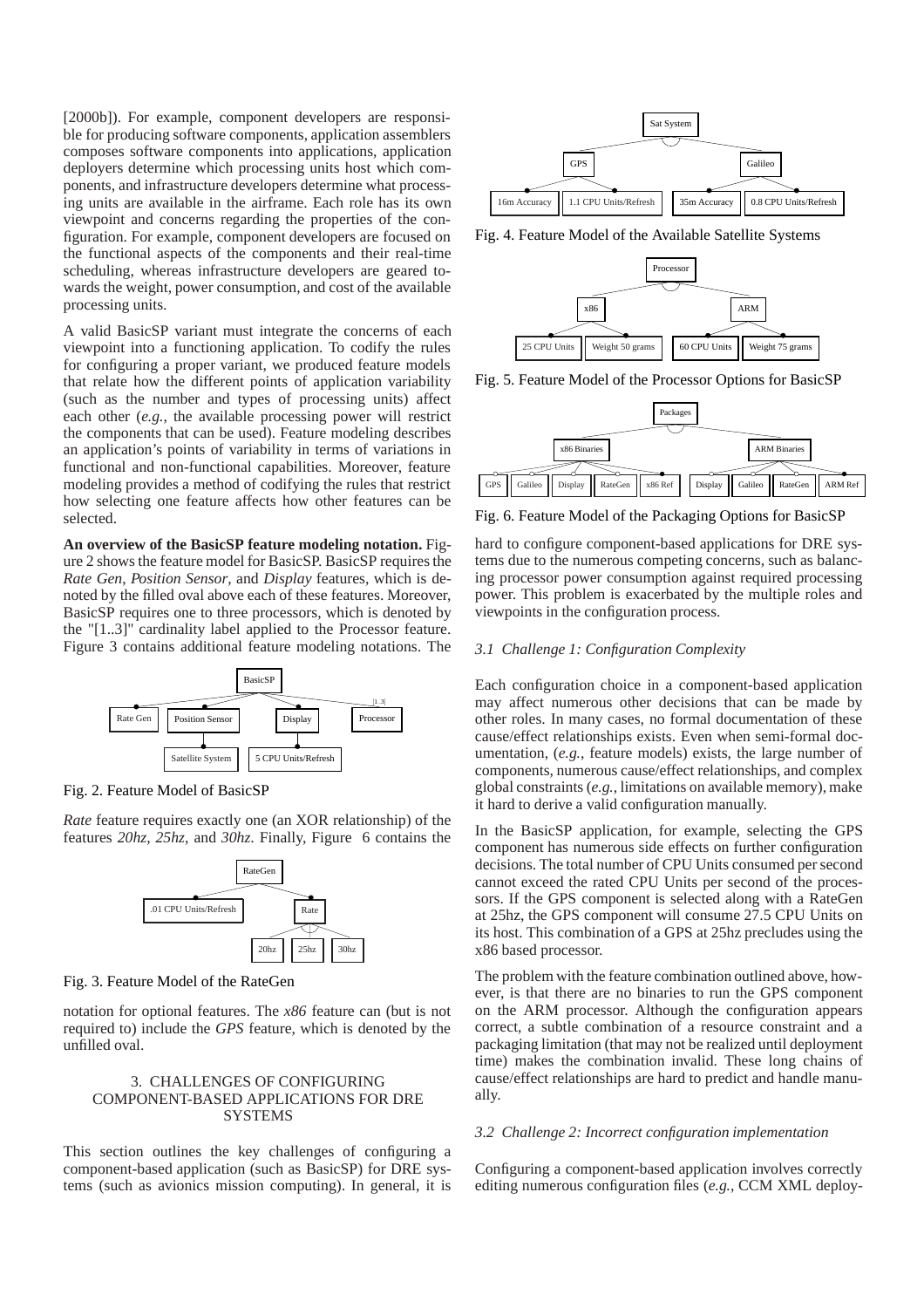[2000b]). For example, component developers are responsible for producing software components, application assemblers composes software components into applications, application deployers determine which processing units host which components, and infrastructure developers determine what processing units are available in the airframe. Each role has its own viewpoint and concerns regarding the properties of the configuration. For example, component developers are focused on the functional aspects of the components and their real-time scheduling, whereas infrastructure developers are geared towards the weight, power consumption, and cost of the available processing units.

A valid BasicSP variant must integrate the concerns of each viewpoint into a functioning application. To codify the rules for configuring a proper variant, we produced feature models that relate how the different points of application variability (such as the number and types of processing units) affect each other (*e.g.*, the available processing power will restrict the components that can be used). Feature modeling describes an application's points of variability in terms of variations in functional and non-functional capabilities. Moreover, feature modeling provides a method of codifying the rules that restrict how selecting one feature affects how other features can be selected.

**An overview of the BasicSP feature modeling notation.** Figure 2 shows the feature model for BasicSP. BasicSP requires the *Rate Gen*, *Position Sensor*, and *Display* features, which is denoted by the filled oval above each of these features. Moreover, BasicSP requires one to three processors, which is denoted by the "[1..3]" cardinality label applied to the Processor feature. Figure 3 contains additional feature modeling notations. The



Fig. 2. Feature Model of BasicSP

*Rate* feature requires exactly one (an XOR relationship) of the features *20hz*, *25hz*, and *30hz*. Finally, Figure 6 contains the



Fig. 3. Feature Model of the RateGen

notation for optional features. The *x86* feature can (but is not required to) include the *GPS* feature, which is denoted by the unfilled oval.

# 3. CHALLENGES OF CONFIGURING COMPONENT-BASED APPLICATIONS FOR DRE **SYSTEMS**

This section outlines the key challenges of configuring a component-based application (such as BasicSP) for DRE systems (such as avionics mission computing). In general, it is



Fig. 4. Feature Model of the Available Satellite Systems



Fig. 5. Feature Model of the Processor Options for BasicSP



Fig. 6. Feature Model of the Packaging Options for BasicSP

hard to configure component-based applications for DRE systems due to the numerous competing concerns, such as balancing processor power consumption against required processing power. This problem is exacerbated by the multiple roles and viewpoints in the configuration process.

# *3.1 Challenge 1: Configuration Complexity*

Each configuration choice in a component-based application may affect numerous other decisions that can be made by other roles. In many cases, no formal documentation of these cause/effect relationships exists. Even when semi-formal documentation, (*e.g.*, feature models) exists, the large number of components, numerous cause/effect relationships, and complex global constraints (*e.g.*, limitations on available memory), make it hard to derive a valid configuration manually.

In the BasicSP application, for example, selecting the GPS component has numerous side effects on further configuration decisions. The total number of CPU Units consumed per second cannot exceed the rated CPU Units per second of the processors. If the GPS component is selected along with a RateGen at 25hz, the GPS component will consume 27.5 CPU Units on its host. This combination of a GPS at 25hz precludes using the x86 based processor.

The problem with the feature combination outlined above, however, is that there are no binaries to run the GPS component on the ARM processor. Although the configuration appears correct, a subtle combination of a resource constraint and a packaging limitation (that may not be realized until deployment time) makes the combination invalid. These long chains of cause/effect relationships are hard to predict and handle manually.

# *3.2 Challenge 2: Incorrect configuration implementation*

Configuring a component-based application involves correctly editing numerous configuration files (*e.g.*, CCM XML deploy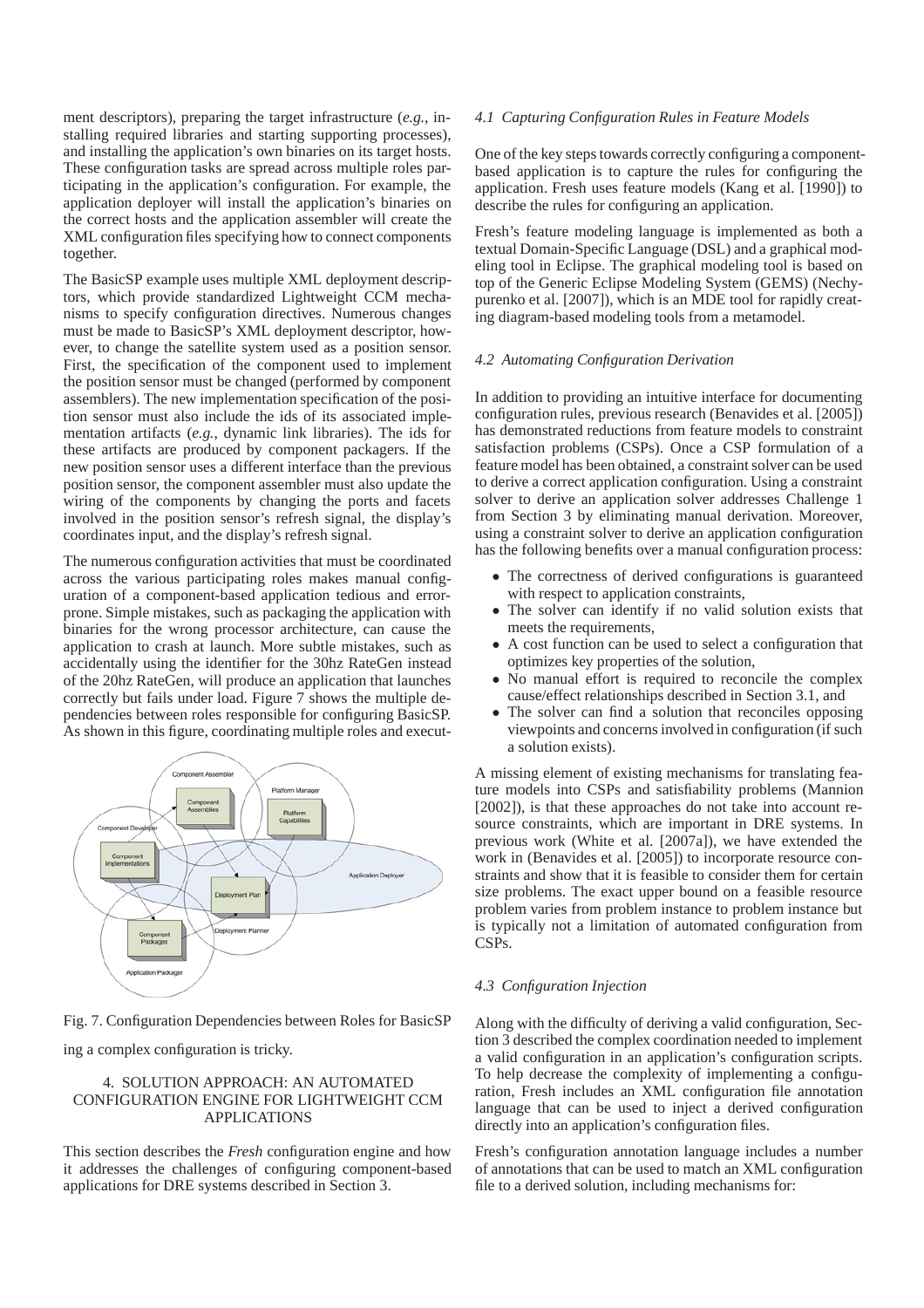ment descriptors), preparing the target infrastructure (*e.g.*, installing required libraries and starting supporting processes), and installing the application's own binaries on its target hosts. These configuration tasks are spread across multiple roles participating in the application's configuration. For example, the application deployer will install the application's binaries on the correct hosts and the application assembler will create the XML configuration files specifying how to connect components together.

The BasicSP example uses multiple XML deployment descriptors, which provide standardized Lightweight CCM mechanisms to specify configuration directives. Numerous changes must be made to BasicSP's XML deployment descriptor, however, to change the satellite system used as a position sensor. First, the specification of the component used to implement the position sensor must be changed (performed by component assemblers). The new implementation specification of the position sensor must also include the ids of its associated implementation artifacts (*e.g.*, dynamic link libraries). The ids for these artifacts are produced by component packagers. If the new position sensor uses a different interface than the previous position sensor, the component assembler must also update the wiring of the components by changing the ports and facets involved in the position sensor's refresh signal, the display's coordinates input, and the display's refresh signal.

The numerous configuration activities that must be coordinated across the various participating roles makes manual configuration of a component-based application tedious and errorprone. Simple mistakes, such as packaging the application with binaries for the wrong processor architecture, can cause the application to crash at launch. More subtle mistakes, such as accidentally using the identifier for the 30hz RateGen instead of the 20hz RateGen, will produce an application that launches correctly but fails under load. Figure 7 shows the multiple dependencies between roles responsible for configuring BasicSP. As shown in this figure, coordinating multiple roles and execut-



Fig. 7. Configuration Dependencies between Roles for BasicSP ing a complex configuration is tricky.

# 4. SOLUTION APPROACH: AN AUTOMATED CONFIGURATION ENGINE FOR LIGHTWEIGHT CCM APPLICATIONS

This section describes the *Fresh* configuration engine and how it addresses the challenges of configuring component-based applications for DRE systems described in Section 3.

# *4.1 Capturing Configuration Rules in Feature Models*

One of the key steps towards correctly configuring a componentbased application is to capture the rules for configuring the application. Fresh uses feature models (Kang et al. [1990]) to describe the rules for configuring an application.

Fresh's feature modeling language is implemented as both a textual Domain-Specific Language (DSL) and a graphical modeling tool in Eclipse. The graphical modeling tool is based on top of the Generic Eclipse Modeling System (GEMS) (Nechypurenko et al. [2007]), which is an MDE tool for rapidly creating diagram-based modeling tools from a metamodel.

### *4.2 Automating Configuration Derivation*

In addition to providing an intuitive interface for documenting configuration rules, previous research (Benavides et al. [2005]) has demonstrated reductions from feature models to constraint satisfaction problems (CSPs). Once a CSP formulation of a feature model has been obtained, a constraint solver can be used to derive a correct application configuration. Using a constraint solver to derive an application solver addresses Challenge 1 from Section 3 by eliminating manual derivation. Moreover, using a constraint solver to derive an application configuration has the following benefits over a manual configuration process:

- The correctness of derived configurations is guaranteed with respect to application constraints,
- The solver can identify if no valid solution exists that meets the requirements,
- A cost function can be used to select a configuration that optimizes key properties of the solution,
- No manual effort is required to reconcile the complex cause/effect relationships described in Section 3.1, and
- The solver can find a solution that reconciles opposing viewpoints and concerns involved in configuration (if such a solution exists).

A missing element of existing mechanisms for translating feature models into CSPs and satisfiability problems (Mannion [2002]), is that these approaches do not take into account resource constraints, which are important in DRE systems. In previous work (White et al. [2007a]), we have extended the work in (Benavides et al. [2005]) to incorporate resource constraints and show that it is feasible to consider them for certain size problems. The exact upper bound on a feasible resource problem varies from problem instance to problem instance but is typically not a limitation of automated configuration from CSPs.

### *4.3 Configuration Injection*

Along with the difficulty of deriving a valid configuration, Section 3 described the complex coordination needed to implement a valid configuration in an application's configuration scripts. To help decrease the complexity of implementing a configuration, Fresh includes an XML configuration file annotation language that can be used to inject a derived configuration directly into an application's configuration files.

Fresh's configuration annotation language includes a number of annotations that can be used to match an XML configuration file to a derived solution, including mechanisms for: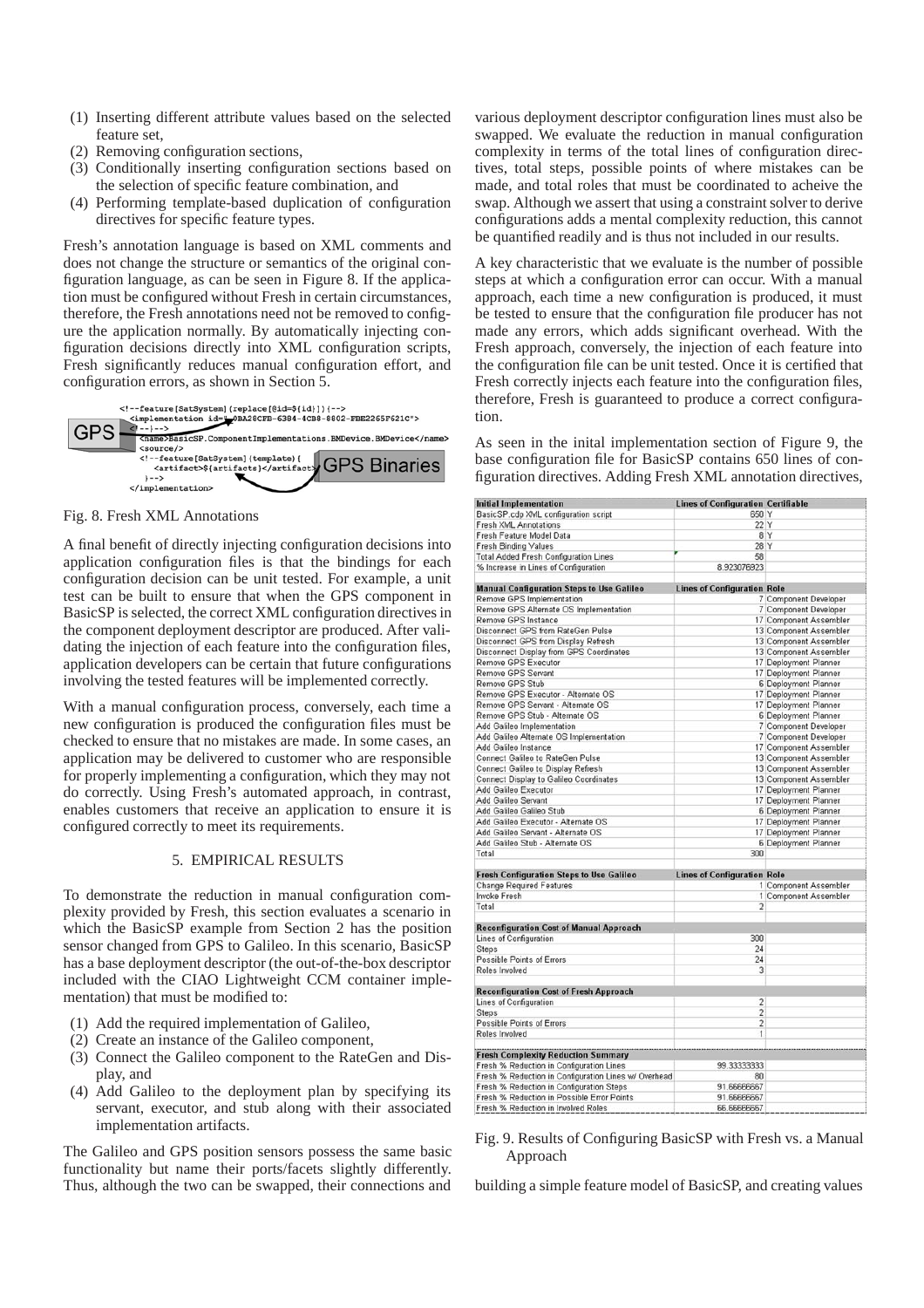- (1) Inserting different attribute values based on the selected feature set,
- (2) Removing configuration sections,
- (3) Conditionally inserting configuration sections based on the selection of specific feature combination, and
- (4) Performing template-based duplication of configuration directives for specific feature types.

Fresh's annotation language is based on XML comments and does not change the structure or semantics of the original configuration language, as can be seen in Figure 8. If the application must be configured without Fresh in certain circumstances, therefore, the Fresh annotations need not be removed to configure the application normally. By automatically injecting configuration decisions directly into XML configuration scripts, Fresh significantly reduces manual configuration effort, and configuration errors, as shown in Section 5.





A final benefit of directly injecting configuration decisions into application configuration files is that the bindings for each configuration decision can be unit tested. For example, a unit test can be built to ensure that when the GPS component in BasicSP is selected, the correct XML configuration directives in the component deployment descriptor are produced. After validating the injection of each feature into the configuration files, application developers can be certain that future configurations involving the tested features will be implemented correctly.

With a manual configuration process, conversely, each time a new configuration is produced the configuration files must be checked to ensure that no mistakes are made. In some cases, an application may be delivered to customer who are responsible for properly implementing a configuration, which they may not do correctly. Using Fresh's automated approach, in contrast, enables customers that receive an application to ensure it is configured correctly to meet its requirements.

# 5. EMPIRICAL RESULTS

To demonstrate the reduction in manual configuration complexity provided by Fresh, this section evaluates a scenario in which the BasicSP example from Section 2 has the position sensor changed from GPS to Galileo. In this scenario, BasicSP has a base deployment descriptor (the out-of-the-box descriptor included with the CIAO Lightweight CCM container implementation) that must be modified to:

- (1) Add the required implementation of Galileo,
- (2) Create an instance of the Galileo component,
- (3) Connect the Galileo component to the RateGen and Display, and
- (4) Add Galileo to the deployment plan by specifying its servant, executor, and stub along with their associated implementation artifacts.

The Galileo and GPS position sensors possess the same basic functionality but name their ports/facets slightly differently. Thus, although the two can be swapped, their connections and

various deployment descriptor configuration lines must also be swapped. We evaluate the reduction in manual configuration complexity in terms of the total lines of configuration directives, total steps, possible points of where mistakes can be made, and total roles that must be coordinated to acheive the swap. Although we assert that using a constraint solver to derive configurations adds a mental complexity reduction, this cannot be quantified readily and is thus not included in our results.

A key characteristic that we evaluate is the number of possible steps at which a configuration error can occur. With a manual approach, each time a new configuration is produced, it must be tested to ensure that the configuration file producer has not made any errors, which adds significant overhead. With the Fresh approach, conversely, the injection of each feature into the configuration file can be unit tested. Once it is certified that Fresh correctly injects each feature into the configuration files, therefore, Fresh is guaranteed to produce a correct configuration.

As seen in the inital implementation section of Figure 9, the base configuration file for BasicSP contains 650 lines of configuration directives. Adding Fresh XML annotation directives,

| <b>Initial Implementation</b>                        | <b>Lines of Configuration Certifiable</b> |                        |
|------------------------------------------------------|-------------------------------------------|------------------------|
| BasicSP.cdp XML configuration script                 | 650 Y                                     |                        |
| <b>Fresh XML Annotations</b>                         | 22 Y                                      |                        |
| Fresh Feature Model Data                             |                                           | 8 Y                    |
| Fresh Binding Values                                 | 28 Y                                      |                        |
| <b>Total Added Fresh Configuration Lines</b>         | 58                                        |                        |
| % Increase in Lines of Configuration                 | 8.923076923                               |                        |
|                                                      |                                           |                        |
| <b>Manual Configuration Steps to Use Galileo</b>     | <b>Lines of Configuration Role</b>        |                        |
| Remove GPS Implementation                            |                                           | 7 Component Developer  |
| Remove GPS Alternate OS Implementation               |                                           | 7 Component Developer  |
| Remove GPS Instance                                  |                                           | 17 Component Assembler |
| Disconnect GPS from RateGen Pulse                    |                                           | 13 Component Assembler |
| Disconnect GPS from Display Refresh                  |                                           | 13 Component Assembler |
| Disconnect Display from GPS Coordinates              |                                           | 13 Component Assembler |
| Remove GPS Executor                                  |                                           | 17 Deployment Planner  |
| Remove GPS Servant                                   |                                           | 17 Deployment Planner  |
| Remove GPS Stub                                      |                                           | 6 Deployment Planner   |
| Remove GPS Executor - Alternate OS                   |                                           | 17 Deployment Planner  |
| Remove GPS Servant - Alternate OS                    |                                           | 17 Deployment Planner  |
| Remove GPS Stub - Alternate OS                       |                                           | 6 Deployment Planner   |
| Add Galileo Implementation                           |                                           | 7 Component Developer  |
| Add Galileo Alternate OS Implementation              |                                           | 7 Component Developer  |
| Add Galileo Instance                                 |                                           | 17 Component Assembler |
| Connect Galileo to RateGen Pulse                     |                                           | 13 Component Assembler |
| Connect Galileo to Display Refresh                   |                                           | 13 Component Assembler |
| <b>Connect Display to Galileo Coordinates</b>        |                                           | 13 Component Assembler |
| Add Galileo Executor                                 |                                           | 17 Deployment Planner  |
| Add Galileo Servant                                  |                                           | 17 Deployment Planner  |
| Add Galileo Galileo Stub                             |                                           | 6 Deployment Planner   |
| Add Galileo Executor - Alternate OS                  |                                           | 17 Deployment Planner  |
| Add Galileo Servant - Alternate OS                   |                                           | 17 Deployment Planner  |
| Add Galileo Stub - Alternate OS                      |                                           | 6 Deployment Planner   |
| Total                                                | 300                                       |                        |
|                                                      |                                           |                        |
| <b>Fresh Configuration Steps to Use Galileo</b>      | <b>Lines of Configuration Role</b>        |                        |
| <b>Change Required Features</b>                      |                                           | 1 Component Assembler  |
| <b>Invoke Fresh</b>                                  |                                           | 1 Component Assembler  |
| Total                                                | $\overline{2}$                            |                        |
|                                                      |                                           |                        |
| <b>Reconfiguration Cost of Manual Approach</b>       |                                           |                        |
| Lines of Configuration                               | 300                                       |                        |
| Steps                                                | 24                                        |                        |
| Possible Points of Errors                            | 24                                        |                        |
| Roles Involved                                       | 3                                         |                        |
| <b>Reconfiguration Cost of Fresh Approach</b>        |                                           |                        |
| Lines of Configuration                               | $\overline{2}$                            |                        |
| <b>Steps</b>                                         | $\overline{2}$                            |                        |
| Possible Points of Errors                            | $\overline{c}$                            |                        |
| Roles Involved                                       | 1                                         |                        |
|                                                      |                                           |                        |
| <b>Fresh Complexity Reduction Summary</b>            |                                           |                        |
| Fresh % Reduction in Configuration Lines             | 99.33333333                               |                        |
| Fresh % Reduction in Configuration Lines w/ Overhead | 80                                        |                        |
| Fresh % Reduction in Configuration Steps             | 91.66666667                               |                        |
| Fresh % Reduction in Possible Error Points           | 91.66666667                               |                        |
| Fresh % Reduction in Involved Roles                  | 66.66666667                               |                        |
|                                                      |                                           |                        |

# Fig. 9. Results of Configuring BasicSP with Fresh vs. a Manual Approach

building a simple feature model of BasicSP, and creating values